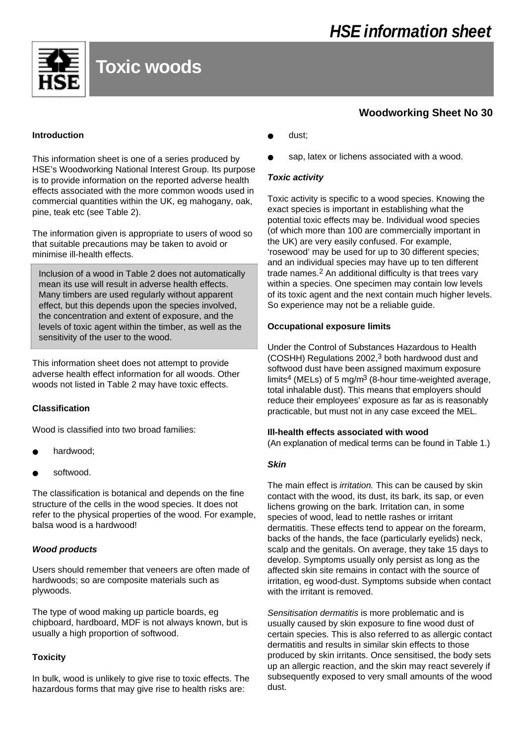

# **Toxic woods**

#### **Introduction**

This information sheet is one of a series produced by HSE's Woodworking National Interest Group. Its purpose is to provide information on the reported adverse health effects associated with the more common woods used in commercial quantities within the UK, eg mahogany, oak, pine, teak etc (see Table 2).

The information given is appropriate to users of wood so that suitable precautions may be taken to avoid or minimise ill-health effects.

Inclusion of a wood in Table 2 does not automatically mean its use will result in adverse health effects. Many timbers are used regularly without apparent effect, but this depends upon the species involved, the concentration and extent of exposure, and the levels of toxic agent within the timber, as well as the sensitivity of the user to the wood.

This information sheet does not attempt to provide adverse health effect information for all woods. Other woods not listed in Table 2 may have toxic effects.

### **Classification**

Wood is classified into two broad families:

- hardwood:
- softwood.

The classification is botanical and depends on the fine structure of the cells in the wood species. It does not refer to the physical properties of the wood. For example, balsa wood is a hardwood!

### *Wood products*

Users should remember that veneers are often made of hardwoods; so are composite materials such as plywoods.

The type of wood making up particle boards, eg chipboard, hardboard, MDF is not always known, but is usually a high proportion of softwood.

### **Toxicity**

In bulk, wood is unlikely to give rise to toxic effects. The hazardous forms that may give rise to health risks are:

- dust:
- sap, latex or lichens associated with a wood.

#### *Toxic activity*

Toxic activity is specific to a wood species. Knowing the exact species is important in establishing what the potential toxic effects may be. Individual wood species (of which more than 100 are commercially important in the UK) are very easily confused. For example, 'rosewood' may be used for up to 30 different species; and an individual species may have up to ten different trade names.2 An additional difficulty is that trees vary within a species. One specimen may contain low levels of its toxic agent and the next contain much higher levels. So experience may not be a reliable guide.

#### **Occupational exposure limits**

Under the Control of Substances Hazardous to Health (COSHH) Regulations 2002,3 both hardwood dust and softwood dust have been assigned maximum exposure limits<sup>4</sup> (MELs) of 5 mg/m<sup>3</sup> (8-hour time-weighted average, total inhalable dust). This means that employers should reduce their employees' exposure as far as is reasonably practicable, but must not in any case exceed the MEL.

#### **Ill-health effects associated with wood**

(An explanation of medical terms can be found in Table 1.)

#### *Skin*

The main effect is *irritation.* This can be caused by skin contact with the wood, its dust, its bark, its sap, or even lichens growing on the bark. Irritation can, in some species of wood, lead to nettle rashes or irritant dermatitis. These effects tend to appear on the forearm, backs of the hands, the face (particularly eyelids) neck, scalp and the genitals. On average, they take 15 days to develop. Symptoms usually only persist as long as the affected skin site remains in contact with the source of irritation, eg wood-dust. Symptoms subside when contact with the irritant is removed.

*Sensitisation dermatitis* is more problematic and is usually caused by skin exposure to fine wood dust of certain species. This is also referred to as allergic contact dermatitis and results in similar skin effects to those produced by skin irritants. Once sensitised, the body sets up an allergic reaction, and the skin may react severely if subsequently exposed to very small amounts of the wood dust.

## **Woodworking Sheet No 30**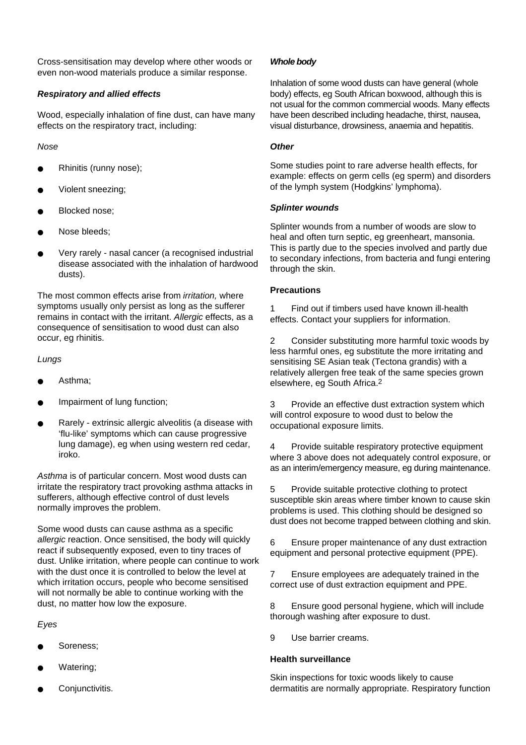Cross-sensitisation may develop where other woods or even non-wood materials produce a similar response.

#### *Respiratory and allied effects*

Wood, especially inhalation of fine dust, can have many effects on the respiratory tract, including:

*Nose*

- Rhinitis (runny nose);
- Violent sneezing;
- Blocked nose;
- Nose bleeds;
- Very rarely nasal cancer (a recognised industrial disease associated with the inhalation of hardwood dusts).

The most common effects arise from *irritation,* where symptoms usually only persist as long as the sufferer remains in contact with the irritant. *Allergic* effects, as a consequence of sensitisation to wood dust can also occur, eg rhinitis.

*Lungs*

- Asthma:
- Impairment of lung function;
- Rarely extrinsic allergic alveolitis (a disease with 'flu-like' symptoms which can cause progressive lung damage), eg when using western red cedar, iroko.

*Asthma* is of particular concern. Most wood dusts can irritate the respiratory tract provoking asthma attacks in sufferers, although effective control of dust levels normally improves the problem.

Some wood dusts can cause asthma as a specific *allergic* reaction. Once sensitised, the body will quickly react if subsequently exposed, even to tiny traces of dust. Unlike irritation, where people can continue to work with the dust once it is controlled to below the level at which irritation occurs, people who become sensitised will not normally be able to continue working with the dust, no matter how low the exposure.

*Eyes*

- Soreness:
- Watering:
- Conjunctivitis.

#### *Whole body*

Inhalation of some wood dusts can have general (whole body) effects, eg South African boxwood, although this is not usual for the common commercial woods. Many effects have been described including headache, thirst, nausea, visual disturbance, drowsiness, anaemia and hepatitis.

#### *Other*

Some studies point to rare adverse health effects, for example: effects on germ cells (eg sperm) and disorders of the lymph system (Hodgkins' lymphoma).

#### *Splinter wounds*

Splinter wounds from a number of woods are slow to heal and often turn septic, eg greenheart, mansonia. This is partly due to the species involved and partly due to secondary infections, from bacteria and fungi entering through the skin.

#### **Precautions**

1 Find out if timbers used have known ill-health effects. Contact your suppliers for information.

2 Consider substituting more harmful toxic woods by less harmful ones, eg substitute the more irritating and sensitising SE Asian teak (Tectona grandis) with a relatively allergen free teak of the same species grown elsewhere, eg South Africa.2

3 Provide an effective dust extraction system which will control exposure to wood dust to below the occupational exposure limits.

4 Provide suitable respiratory protective equipment where 3 above does not adequately control exposure, or as an interim/emergency measure, eg during maintenance.

5 Provide suitable protective clothing to protect susceptible skin areas where timber known to cause skin problems is used. This clothing should be designed so dust does not become trapped between clothing and skin.

6 Ensure proper maintenance of any dust extraction equipment and personal protective equipment (PPE).

7 Ensure employees are adequately trained in the correct use of dust extraction equipment and PPE.

8 Ensure good personal hygiene, which will include thorough washing after exposure to dust.

9 Use barrier creams.

#### **Health surveillance**

Skin inspections for toxic woods likely to cause dermatitis are normally appropriate. Respiratory function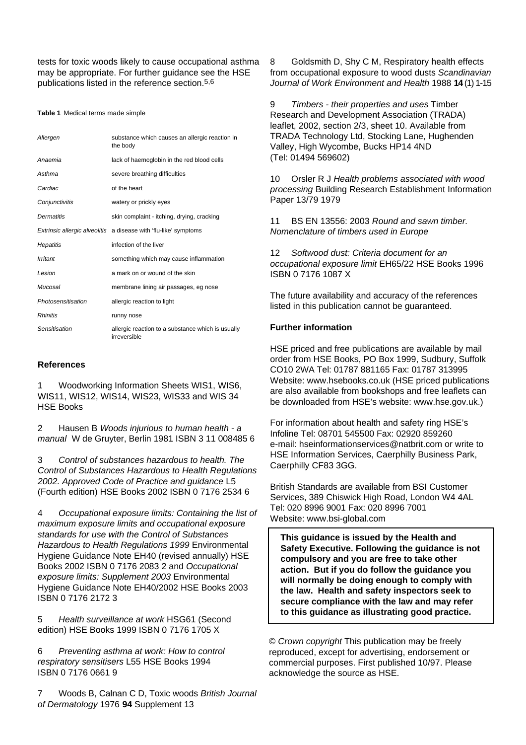tests for toxic woods likely to cause occupational asthma may be appropriate. For further guidance see the HSE publications listed in the reference section.5,6

**Table 1** Medical terms made simple

| Allergen           | substance which causes an allergic reaction in<br>the body              |
|--------------------|-------------------------------------------------------------------------|
| Anaemia            | lack of haemoglobin in the red blood cells                              |
| Asthma             | severe breathing difficulties                                           |
| Cardiac            | of the heart                                                            |
| Conjunctivitis     | watery or prickly eyes                                                  |
| Dermatitis         | skin complaint - itching, drying, cracking                              |
|                    | <i>Extrinsic allergic alveolitis</i> a disease with 'flu-like' symptoms |
| Hepatitis          | infection of the liver                                                  |
| Irritant           | something which may cause inflammation                                  |
| Lesion             | a mark on or wound of the skin                                          |
| Mucosal            | membrane lining air passages, eg nose                                   |
| Photosensitisation | allergic reaction to light                                              |
| <b>Rhinitis</b>    | runny nose                                                              |
| Sensitisation      | allergic reaction to a substance which is usually<br>irreversible       |

#### **References**

1 Woodworking Information Sheets WIS1, WIS6, WIS11, WIS12, WIS14, WIS23, WIS33 and WIS 34 HSE Books

2 Hausen B *Woods injurious to human health - a manual* W de Gruyter, Berlin 1981 ISBN 3 11 008485 6

3 *Control of substances hazardous to health. The Control of Substances Hazardous to Health Regulations 2002. Approved Code of Practice and guidance* L5 (Fourth edition) HSE Books 2002 ISBN 0 7176 2534 6

4 *Occupational exposure limits: Containing the list of maximum exposure limits and occupational exposure standards for use with the Control of Substances Hazardous to Health Regulations 1999* Environmental Hygiene Guidance Note EH40 (revised annually) HSE Books 2002 ISBN 0 7176 2083 2 and *Occupational exposure limits: Supplement 2003* Environmental Hygiene Guidance Note EH40/2002 HSE Books 2003 ISBN 0 7176 2172 3

5 *Health surveillance at work* HSG61 (Second edition) HSE Books 1999 ISBN 0 7176 1705 X

6 *Preventing asthma at work: How to control respiratory sensitisers* L55 HSE Books 1994 ISBN 0 7176 0661 9

7 Woods B, Calnan C D, Toxic woods *British Journal of Dermatology* 1976 **94** Supplement 13

8 Goldsmith D, Shy C M, Respiratory health effects from occupational exposure to wood dusts *Scandinavian Journal of Work Environment and Health* 1988 **1 4**(1) 1-15

9 *Timbers - their properties and uses* Timber Research and Development Association (TRADA) leaflet, 2002, section 2/3, sheet 10. Available from TRADA Technology Ltd, Stocking Lane, Hughenden Valley, High Wycombe, Bucks HP14 4ND (Tel: 01494 569602)

10 Orsler R J *Health problems associated with wood processing* Building Research Establishment Information Paper 13/79 1979

11 BS EN 13556: 2003 *Round and sawn timber. Nomenclature of timbers used in Europe*

12 *Softwood dust: Criteria document for an occupational exposure limit* EH65/22 HSE Books 1996 ISBN 0 7176 1087 X

The future availability and accuracy of the references listed in this publication cannot be guaranteed.

#### **Further information**

HSE priced and free publications are available by mail order from HSE Books, PO Box 1999, Sudbury, Suffolk CO10 2WA Tel: 01787 881165 Fax: 01787 313995 Website: www.hsebooks.co.uk (HSE priced publications are also available from bookshops and free leaflets can be downloaded from HSE's website: www.hse.gov.uk.)

For information about health and safety ring HSE's Infoline Tel: 08701 545500 Fax: 02920 859260 e-mail: hseinformationservices@natbrit.com or write to HSE Information Services, Caerphilly Business Park, Caerphilly CF83 3GG.

British Standards are available from BSI Customer Services, 389 Chiswick High Road, London W4 4AL Tel: 020 8996 9001 Fax: 020 8996 7001 Website: www.bsi-global.com

**This guidance is issued by the Health and Safety Executive. Following the guidance is not compulsory and you are free to take other action. But if you do follow the guidance you will normally be doing enough to comply with the law. Health and safety inspectors seek to secure compliance with the law and may refer to this guidance as illustrating good practice.**

© *Crown copyright* This publication may be freely reproduced, except for advertising, endorsement or commercial purposes. First published 10/97. Please acknowledge the source as HSE.